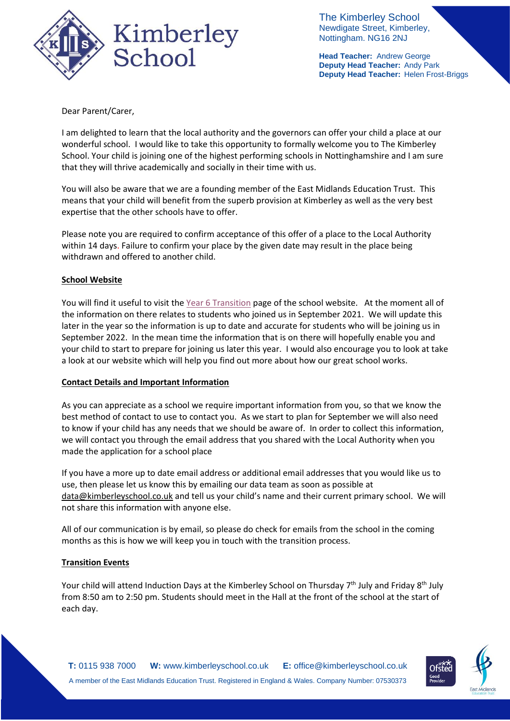

The Kimberley School Newdigate Street, Kimberley, Nottingham. NG16 2NJ

**Head Teacher:** Andrew George **Deputy Head Teacher:** Andy Park **Deputy Head Teacher:** Helen Frost-Briggs

Dear Parent/Carer,

I am delighted to learn that the local authority and the governors can offer your child a place at our wonderful school. I would like to take this opportunity to formally welcome you to The Kimberley School. Your child is joining one of the highest performing schools in Nottinghamshire and I am sure that they will thrive academically and socially in their time with us.

You will also be aware that we are a founding member of the East Midlands Education Trust. This means that your child will benefit from the superb provision at Kimberley as well as the very best expertise that the other schools have to offer.

Please note you are required to confirm acceptance of this offer of a place to the Local Authority within 14 days. Failure to confirm your place by the given date may result in the place being withdrawn and offered to another child.

## **School Website**

You will find it useful to visit th[e Year 6 Transition](https://www.kimberleyschool.co.uk/year-6-transition) page of the school website. At the moment all of the information on there relates to students who joined us in September 2021. We will update this later in the year so the information is up to date and accurate for students who will be joining us in September 2022. In the mean time the information that is on there will hopefully enable you and your child to start to prepare for joining us later this year. I would also encourage you to look at take a look at our website which will help you find out more about how our great school works.

### **Contact Details and Important Information**

As you can appreciate as a school we require important information from you, so that we know the best method of contact to use to contact you. As we start to plan for September we will also need to know if your child has any needs that we should be aware of. In order to collect this information, we will contact you through the email address that you shared with the Local Authority when you made the application for a school place

If you have a more up to date email address or additional email addresses that you would like us to use, then please let us know this by emailing our data team as soon as possible at [data@kimberleyschool.co.uk](mailto:data@kimberleyschool.co.uk) and tell us your child's name and their current primary school. We will not share this information with anyone else.

All of our communication is by email, so please do check for emails from the school in the coming months as this is how we will keep you in touch with the transition process.

# **Transition Events**

Your child will attend Induction Days at the Kimberley School on Thursday 7<sup>th</sup> July and Friday 8<sup>th</sup> July from 8:50 am to 2:50 pm. Students should meet in the Hall at the front of the school at the start of each day.

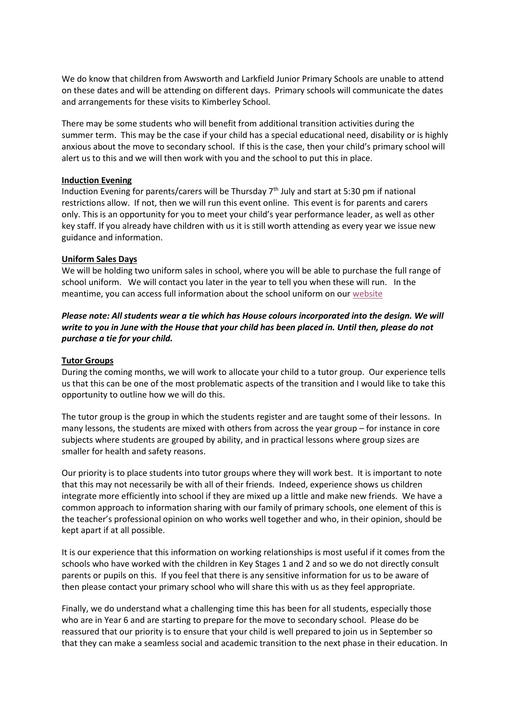We do know that children from Awsworth and Larkfield Junior Primary Schools are unable to attend on these dates and will be attending on different days. Primary schools will communicate the dates and arrangements for these visits to Kimberley School.

There may be some students who will benefit from additional transition activities during the summer term. This may be the case if your child has a special educational need, disability or is highly anxious about the move to secondary school. If this is the case, then your child's primary school will alert us to this and we will then work with you and the school to put this in place.

#### **Induction Evening**

Induction Evening for parents/carers will be Thursday  $7<sup>th</sup>$  July and start at 5:30 pm if national restrictions allow. If not, then we will run this event online. This event is for parents and carers only. This is an opportunity for you to meet your child's year performance leader, as well as other key staff. If you already have children with us it is still worth attending as every year we issue new guidance and information.

#### **Uniform Sales Days**

We will be holding two uniform sales in school, where you will be able to purchase the full range of school uniform. We will contact you later in the year to tell you when these will run. In the meantime, you can access full information about the school uniform on ou[r website](https://www.kimberleyschool.co.uk/uniform)

## *Please note: All students wear a tie which has House colours incorporated into the design. We will write to you in June with the House that your child has been placed in. Until then, please do not purchase a tie for your child.*

### **Tutor Groups**

During the coming months, we will work to allocate your child to a tutor group. Our experience tells us that this can be one of the most problematic aspects of the transition and I would like to take this opportunity to outline how we will do this.

The tutor group is the group in which the students register and are taught some of their lessons. In many lessons, the students are mixed with others from across the year group – for instance in core subjects where students are grouped by ability, and in practical lessons where group sizes are smaller for health and safety reasons.

Our priority is to place students into tutor groups where they will work best. It is important to note that this may not necessarily be with all of their friends. Indeed, experience shows us children integrate more efficiently into school if they are mixed up a little and make new friends. We have a common approach to information sharing with our family of primary schools, one element of this is the teacher's professional opinion on who works well together and who, in their opinion, should be kept apart if at all possible.

It is our experience that this information on working relationships is most useful if it comes from the schools who have worked with the children in Key Stages 1 and 2 and so we do not directly consult parents or pupils on this. If you feel that there is any sensitive information for us to be aware of then please contact your primary school who will share this with us as they feel appropriate.

Finally, we do understand what a challenging time this has been for all students, especially those who are in Year 6 and are starting to prepare for the move to secondary school. Please do be reassured that our priority is to ensure that your child is well prepared to join us in September so that they can make a seamless social and academic transition to the next phase in their education. In